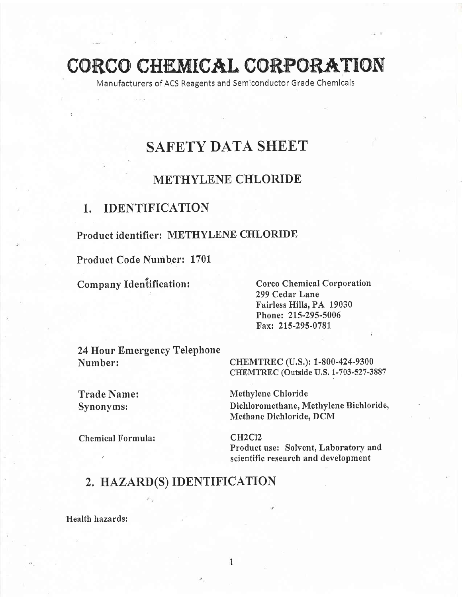CORCO CHEMICAL CORPORATION

Manufacturers of ACS Reagents and Semlconductor Grade Chemicals

# SAFETY DATA SHEET

# METHYLENE CHLORIDE

## 1, IDENTIFICATION

### Product identifier: METHYLENE CHLORIDE

Product Code Number: 1701"

Company Identification:

Corco Chemical Corporatlon 299 Cedar Lane Fairless Hills, PA 19030 Phone: 2L5-295-5006 Fax: 215-295-0781

24 Hour Emergency Telephone Number: CHEMTREC (U.S.): 1-800-424-9300

CHEMTREC (Outside U.S. 1-703-527-3887

Trade Name: Methylene Chloride Synonyms; Dichloromethane, Methylene Bichloride) Methane Dichloride, DCM

Chemical Formula: CH2Cl2

Product use: Solvent, Laboratory and scientific research and development

# 2. HAZARD(S) IDENTIFICATION

Health hazards: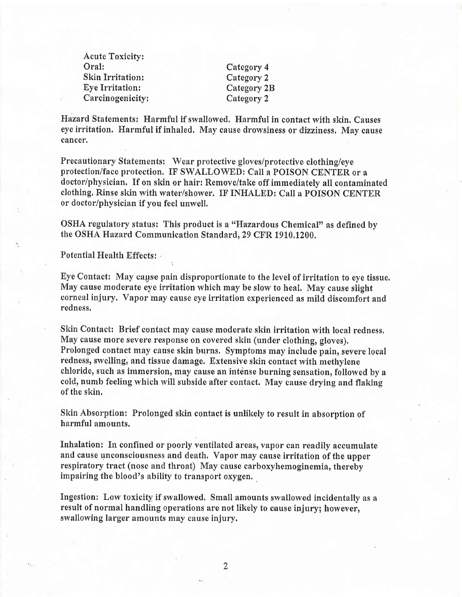Acute Toxicity: Skin Irritation: Category 2 Eye Irritation: Category 2B , Carcinogenicity: Category <sup>2</sup>

Category 4

Hazard Statements: Harmful if swallowed, Harmful in contact with skin. Causes eye irritation. Harmful if inhaled, May cause drowsiness or dizziness. May cause cancer.

Precautionary Statements: Wear protective gloves/protective clothing/eye protection/face protection, IF SWALLOWED: Call a POISON CENTER or a doctor/physician, If on skin or hair: Remove/take off immediatety all contaminated clothing. Rinse skin with water/shower. IF INHALED: Call a POISON CENTER or doctor/physician if you feel unwell.

OSHA regulatory status: This product is a "Hazardous Chemical" as defined by the OSHA Hazard Communication Standard, 29 CFR 1910,1200.

Potential Health Effects:

Eye Contact: May cause pain disproportionate to the level of irritation to eye tissue. May cause moderate eye irritation which may be slow to heal, May cause slight corneal injury, Vapor may causc eye irritation experienced as mild discomfort and redness.

Skin Contact: Brief contact may cause moderate skin irritation with local redness. May cause more severe response on covered skin (under clothing, gloves), Prolonged contact may cause skin burns. Symptoms may include pain, severe local redness, swelling, and tissue damage. Extensive skin contact with methylene chloride, such as immersion, may cause an intense burning sensation, followed by a cold, numb feeling which will subside after contact. May cause drying and flaking of the skin.

Skin Absorption: Prolonged skin contact is unlikely to result in absorption of harmful amounts.

Inhalation: In confined or poorly ventilated areas, vapor can readily accumulate and cause unconsciousness and death. Vapor may cause irritation of the upper respiratory tract (nose and throat) May cause carboxyhemoginemia, thereby impairing the blood's ability to transport oxygen,

Ingestion: Low toxicity if swallowed. Small amounts swallowed incidentally as a result of normal handling operations are not likely to cause injury; however, swallowing larger amounts may cause injury.

2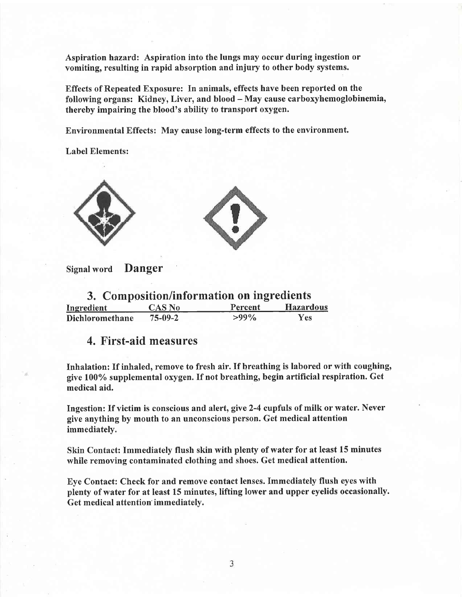Aspiration hazard: Aspiration into the lungs may occur during ingestion or vomiting, resulting in rapid absorption and injury to other body systems.

Effects of Repeated Exposure: In animals, effects have been reported on the following organs: Kidney, Liver, and blood - May cause carboxyhemoglobinemia, thereby impairing the blood's ability to transport oxygen.

Environmental Effects: May cause long-term effects to the environment.

Label Elements:





Signal word Danger

| 3. Composition/information on ingredients |               |         |           |
|-------------------------------------------|---------------|---------|-----------|
| Ingredient                                | <b>CAS No</b> | Percent | Hazardous |
| Dichloromethane                           | $75 - 09 - 2$ | $>99\%$ | Yes:      |

## 4. First-aid measures

Inhalation: If inhaled, remove to fresh air. If breathing is labored or with coughing, give 1007o supplemental oxygen. If not breathing, begin artificial respiration. Get medical aid.

Ingestion: If victim is conscious and alert, give 2-4 cupfuls of milk or water. Never give anything by mouth to an unconscious person. Get medical attention immediately.

Skin Contact: Immediately flush skin with plenty of water for at least 15 minutes while removing contaminated clothing and shoes. Get medical attention.

Eye Contact: Check for and remove contact lenses. Immediately flush eyes with plenfy of water for at least 15 minutes, lifting lower and upper eyelids occasionally. Get medical attention' immediately.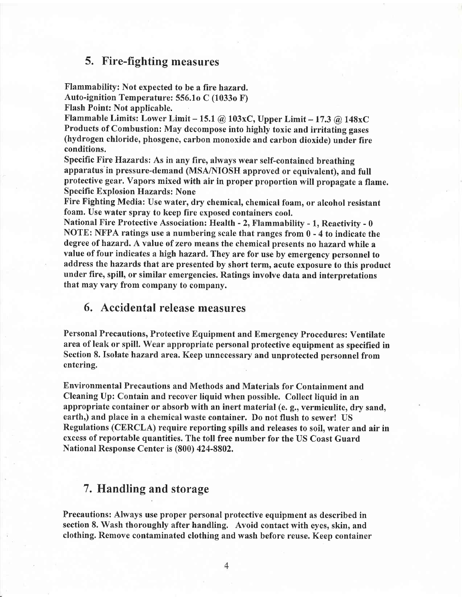### 5. Fire-fighting measures

Flammability: Not expected to be a fire hazard.

Auto-ignition Temperature: 556.1o C (1033o F)

Flash Point: Not applicable.

Flammable Limits: Lower Limit - 15.1 @ 103xC, Upper Limit - 17.3 @ 148xC Products of Combustion: May decompose into highly toxic and irritating gases (hydrogen chloride, phosgene, carbon monoxide and carbon dioxide) under fire conditions.

specific Fire Hazards: As in any fire, always wear self-contained breathing apparatus in pressure-demand (MSA/NIOSH approved or equivalent), and full protective gear. Vapors mixed with air in proper proportion will propagate a flame. Specific Explosion Hazards: None

Fire Fighting Media: Use water, dry chemical, chemical foam, or alcohol resistant foam. Use water spray to keep fire exposed containcrs cool.

National Fire Protective Association: Health - 2, Flammability - 1, Reactivify - <sup>0</sup> NOTE: NFPA ratings use a numbering scale that ranges from  $0 - 4$  to indicate the degree of hazard. A value of zero means the chemical presents no hazard while <sup>a</sup> value of four indicates a high hazard, They are for use by emergency personnel to address the hazards that are presented by short term, acute exposure to this product under fire, spill, or similar emergencies. Ratings involve data and interpretations that may vary from company to company.

### 6. Accidental release measures

Personal Precautions, Protective Equipment and Emergency Procedures: Ventilate area of leak or spill. Wear appropriate personal protective equipment as specified in Section 8. Isolate hazard area. Keep unnecessary and unprotected personnel from entering.

Environmental Precautions and Methods and Materials for Containment and Cleaning Up: Contain and recover liquid when possible. Collect liquid in an appropriate container or absorb with an inert material (e. g., vermiculite, dry sand, earth,) and place in a chemical waste container. Do not flush to sewer! US Regulations (CERCLA) require reporting spills and releases to soil, water and air in excess of reportable quantities. The toll free number for the US Coast Guard National Response Center is (800) 424-8802,

### 7. Handling and storage

Precautions: Always use proper personal protective equipment as described in section 8. Wash thoroughly after handling. Avoid contact with eyes, skin, and clothing. Remove contaminated clothing and wash before reuse. Keep container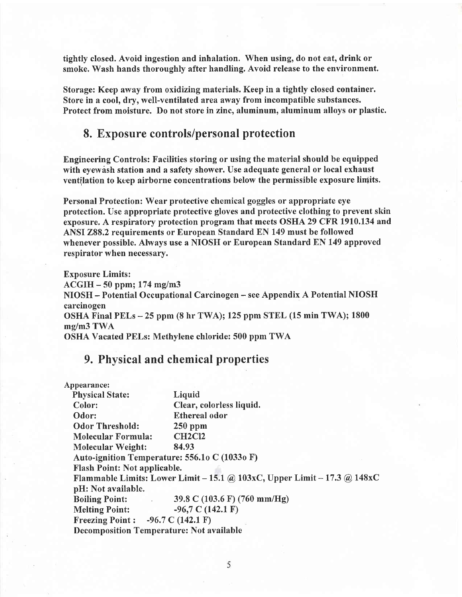tightly closed. Avoid ingestion and inhalation. When using, do not eat, drink or smoke. Wash hands thoroughly after handling. Avoid release to the environment.

Storage: Keep away from oxidizing materials. Keep in a tightly closed container. Store in a cool, dry, well-ventilated area away from incompatible substances. Protect from moisture. Do not store in zinc, aluminum, aluminum alloys or plastic.

### 8. Exposure controls/personal protection

Engineering Controls: Facilities storing or using the material should be equipped with eyewash station and a safety shower. Use adequate general or local exhaust ventilation to keep airborne concentrations below the permissible exposure limits.

Personal Protection: Wear protective chcmical goggles or appropriate eye protection. Use appropriate protective gloves and protective clothing to prevent skin exposure. A respiratory protection program that meets OSHA 29 CFR 1910.134 and ANSI 288,2 requirements or European Standard EN 149 must be followed whenever possible. Always use a NIOSH or European Standard EN 149 approved respirator when necessary.

Exposure Limits:  $ACGIH - 50$  ppm; 174 mg/m3 NIOSH - Potential Occupational Carcinogen - see Appendix A Potential NIOSH carcinogen OSHA Final PELs  $-25$  ppm (8 hr TWA); 125 ppm STEL (15 min TWA); 1800 mg/m3 TWA OSHA Vacated PELs: Methylene chloride: 500 ppm TWA

### 9. Physical and chemical properties

| Appearance:                                                 |                                                                          |  |
|-------------------------------------------------------------|--------------------------------------------------------------------------|--|
| <b>Physical State:</b>                                      | Liquid                                                                   |  |
| Color:                                                      | Clear, colorless liquid.                                                 |  |
| Odor:                                                       | <b>Ethereal odor</b>                                                     |  |
| <b>Odor Threshold:</b>                                      | $250$ ppm                                                                |  |
| <b>Molecular Formula:</b>                                   | <b>CH2Cl2</b>                                                            |  |
| <b>Molecular Weight:</b>                                    | 84.93                                                                    |  |
| Auto-ignition Temperature: 556.10 C (10330 F)               |                                                                          |  |
| <b>Flash Point: Not applicable.</b>                         |                                                                          |  |
|                                                             | Flammable Limits: Lower Limit – 15.1 @ 103xC, Upper Limit – 17.3 @ 148xC |  |
| pH: Not available.                                          |                                                                          |  |
| <b>Boiling Point:</b><br><b>Contract Contract</b>           | 39.8 C (103.6 F) (760 mm/Hg)                                             |  |
| <b>Melting Point:</b>                                       | $-96,7$ C (142.1 F)                                                      |  |
| <b>Freezing Point :</b> $-96.7 \text{ C} (142.1 \text{ F})$ |                                                                          |  |
| <b>Decomposition Temperature: Not available</b>             |                                                                          |  |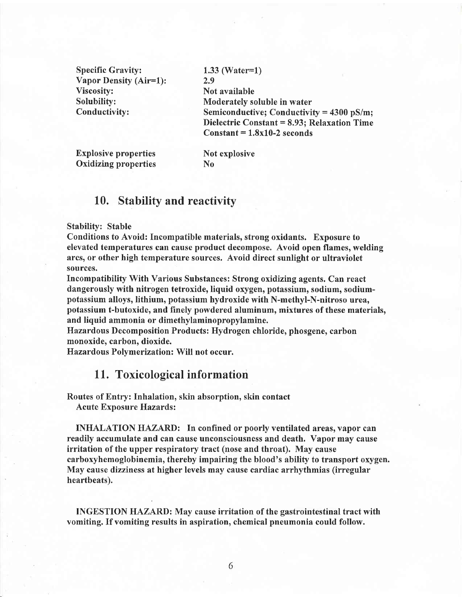Specific Gravity: Vapor Density (Air=1): 2.9 Viscosity: Solubilify: Conductivitv:

1.33 (Water=l) Not available Moderately soluble in water Semiconductive; Conductivity =  $4300$  pS/m; Dielectric Constant = 8.93; Relaxation Time  $Constant = 1.8x10-2 seconds$ 

**Explosive properties** Not explosive Oxidizing properties No

### 10. Stability and reactivity

#### Stability: Stable

Conditions to Avoid: Incompatible materials, strong oxidants. Exposure to elevated temperatures can cause product decompose. Avoid open flames, welding arcs, or other high temperature sources. Avoid direct sunlight or ultraviolet sources.

Incompatibility With Various Substances: Strong oxidizing agents. Can react dangerously with nitrogen tetroxide, liquid oxygen, potassium, sodium, sodiumpotassium alloys, lithium, potassium hydroxide with N-methyl-N-nitroso urea, potassium t-butoxide, and finely powdered aluminum, mixtures of these materials, and liquid ammonia or dimethylaminopropylamine.

Hazardous Decomposition Products: Hydrogen chloride, phosgene, carbon monoxide, carbon, dioxide.

Hazardous Polymerization: Will not occur.

### <sup>1</sup>1. Toxicological information

Routes of Entry: Inhalation, skin absorption, skin contact Acute Exposure Hazards:

INHALATION HAZARD: In confined or poorly ventilated areas, vapor can readily accumulate and can cause unconsciousness and death. Vapor may cause irritation of the upper respiratory tract (nose and throat). May cause carboxyhemoglobinemia, thereby impairing the blood's ability to transport oxygen. May cause dizziness at higher levels may cause cardiac arrhythmias (irregular heartbeats).

INGESTION HAZARD: May cause irritation of the gastrointestinal tract with vomiting. If vomiting results in aspiration, chemical pneumonia could follow.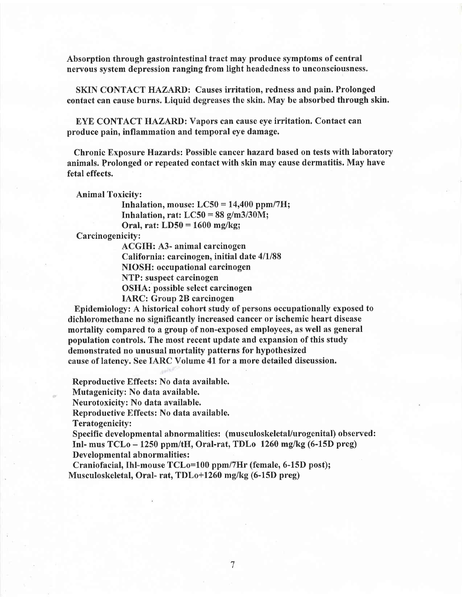Absorption through gastrointestinal tract may produce symptoms of central nervous system depression ranging from light headedness to unconsciousness.

SKIN CONTACT HAZARD: Causes irritation, redness and pain. Prolonged contact can cause burns. Liquid degreases the skin. May be absorbed through skin.

EYE CONTACT HAZARD: Vapors can cause eye irritation. Contact can produce pain, inflammation and temporal eye damage.

Chronic Exposure Hazards: Possible cancer hazard based on tests with laboratory animals. Prolonged or repeated contact with skin may cause dermatitis. May have fetal effects.

Animal Toxicity:

Inhalation, mouse:  $LC50 = 14,400$  ppm/7H; Inhalation, rat:  $LC50 = 88$  g/m3/30M; Oral, rat:  $LD50 = 1600$  mg/kg;

Carcinogenicity:

ACGIH: A3- animal carcinogen California: carcinogen, initial date  $4/1/88$ NIOSH: occupational carcinogen NTP: suspect carcinogen OSHA: possible select carcinogen IARC: Group 28 carcinogen

Epidemiology: A historical cohort study of persons occupationally exposed to dichloromethane no significantly increased cancer or ischemic heart disease mortality compared to a group of non-exposed employees, as well as general population controls. The most recent update and expansion of this study demonstrated no unusual mortality patterns for hypothesized cause of latency. See IARC Volume 4l for a more detailed discussion.

Reproductive Effects: No data available.

Mutagenicity: No data available.

Neurotoxicity: No data available.

Reproductive Effects: No data available.

Teratogenicity:

Specific developmental abnormalities: (musculoskeletal/urogenital) observed: Inl- mus  $TCLo - 1250$  ppm/tH, Oral-rat,  $TDLo$  1260 mg/kg (6-15D preg) Developmental abnormalities :

Craniofacial, Ihl-mouse TCLo=100 ppm/7Hr (female, 6-15D post); Musculoskeletal, Oral- rat, TDLo+1260 mg/kg (6-15D preg)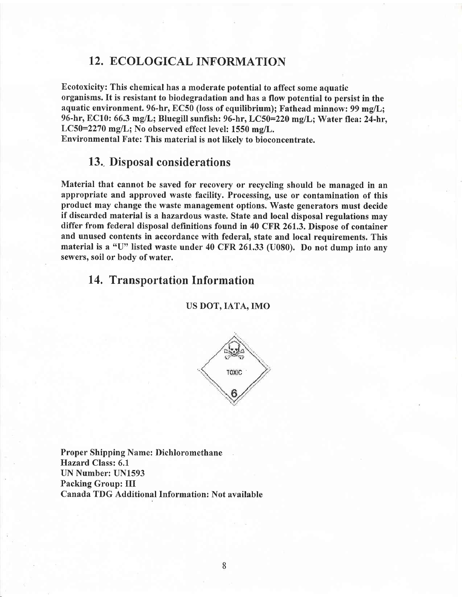### 12. ECOLOGICAL INFORMATION

Ecotoxicity: This chemical has a moderate potential to affect some aquatic organisms. It is resistant to biodegradation and has a flow potential to persist in the aquatic environment. 96-hr, EC50 (loss of equilibrium); Fathead minnow: 99 mg/L; 96-hr, EC10: 66.3 mg/L; Bluegill sunfish: 96-hr, LC50=220 mg/L; Water flea: 24-hr, LC50=2270 mg/L; No observed effect level: 1550 mg/L. Environmental Fate: This material is not likely to bioconcentrate.

### 13. Disposal considerations

Material that cannot be saved for recovery or recycling should be managed in an appropriate and approved waste facility. Processing, use or contamination of this product may change the waste management options. Waste generators must decide if discarded material is a hazardous waste. State and local disposal regulations may differ from federal disposal definitions found in 40 CFR 261.3. Dispose of container and unused contents in accordance with federal, state and local requirements. This material is a "U" listed waste under 40 CFR 261.33 (U080). Do not dump into any sewers, soil or body of water.

# 14, Transportation Information

us DoT,IATA,IMO



Proper Shipping Name: Dichloromethane Hazard Class: 6.1 UN Number: UN1593 Packing Group: III Canada TDG Additional Information: Not available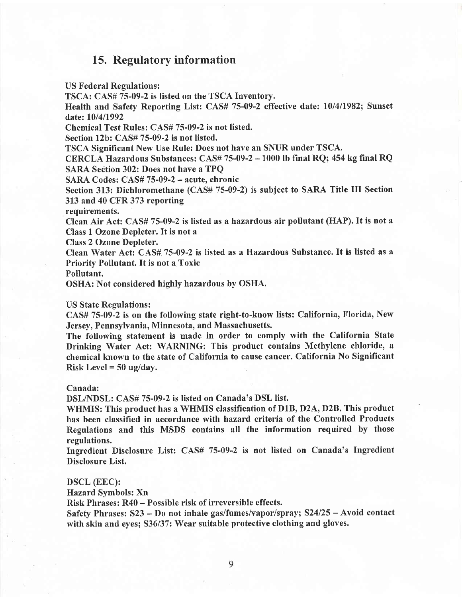### 15. Regulatory information

US Federal Regulations:

TSCA: CAS# 75-09-2 is listed on the TSCA Inventory.

Health and Safety Reporting List: CAS# 75-09-2 effective date: 10/4/1982; Sunset date: 10/4/1992

Chemical Test Rules: CAS# 75-09-2 is not listed.

Section 12b: CAS# 75-09-2 is not listed.

TSCA Significant New Use Rule: Does not have an SNUR under TSCA.

CERCLA Hazardous Substances: CAS# 75-09-2 - 1000 lb final RQ; 454 kg final RQ SARA Section 302: Does not have a TPQ

SARA Codes: CAS# 75-09-2 - acute, chronic

Section 313: Dichloromethane (CAS# 75-09-2) is subject to SARA Title III Section 313 and 40 CFR 373 reporting

requirements.

Clean Air Act: CAS# 75-09-2 is listed as ahazardous air pollutant (HAP). lt is not <sup>a</sup> Class I Ozone Depleter. It is not <sup>a</sup>

Class 2 Ozone Depleter.

Clean Water Act: CAS#. 75-09-2 is listed as a Hazardous Substance. It is listed as <sup>a</sup> Priority Pollutant. It is not a Toxic

Pollutant.

OSHA: Not considered highly hazardous by OSHA.

#### US State Regulations:

CAS# 75-09-2 is on the following state right-to-know lists: California, Florida, New Jersey, Pennsylvania, Minnesota, and Massachusetts.

The following statement is made in order to comply with the California State Drinking Water Act: WARNING: This product contains Methylene chloride, <sup>a</sup> chemical known to the state of California to cause cancer. California No Significant Risk Level  $= 50$  ug/day.

#### Canada:

DSL/NDSL: CAS# 75-09-2 is listed on Canada's DSL list.

WHMIS: This product has a WHMIS classification of D1B, D2A, D2B. This product has been classified in accordance with hazard criteria of the Controlled Products Regulations and this MSDS contains all the information required by those regulations.

Ingredient Disclosure List: CAS# 75-09-2 is not listed on Canada's Ingredient Disclosure List.

#### DSCL (EEC):

Hazard. Symbols: Xn

Risk Phrases: R40 - Possible risk of irreversible effects.

Safety Phrases:  $S23 - Do$  not inhale gas/fumes/vapor/spray;  $S24/25 - Avoid$  contact with skin and eyes; S36/37: Wear suitable protective clothing and gloves.